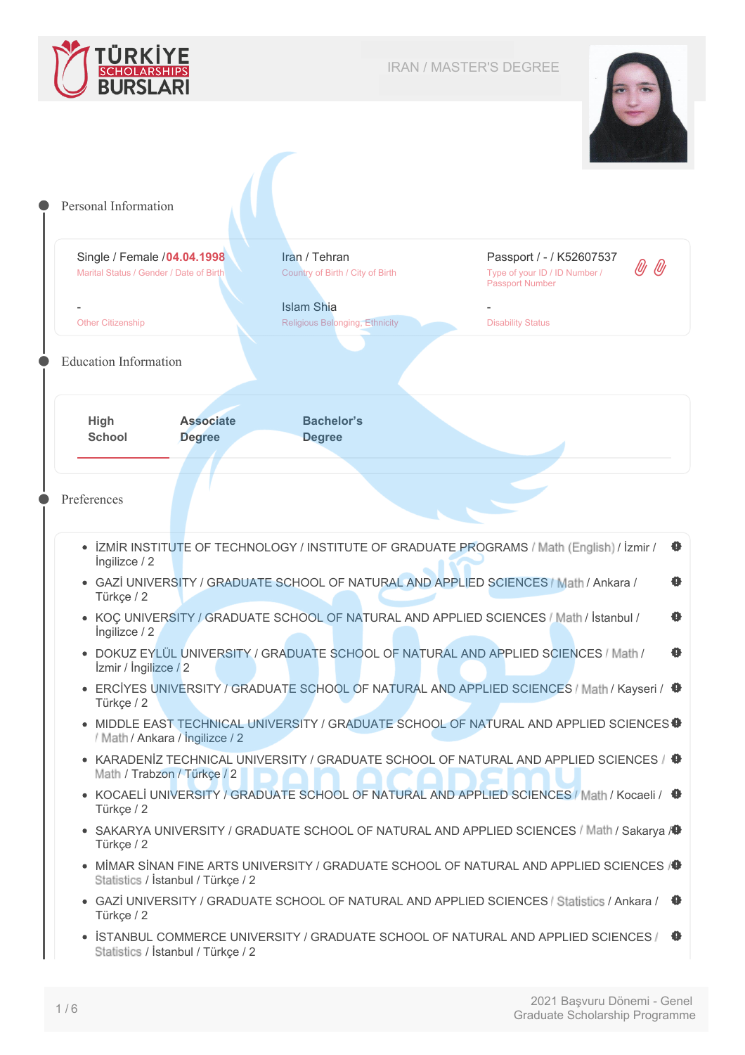



<span id="page-0-0"></span>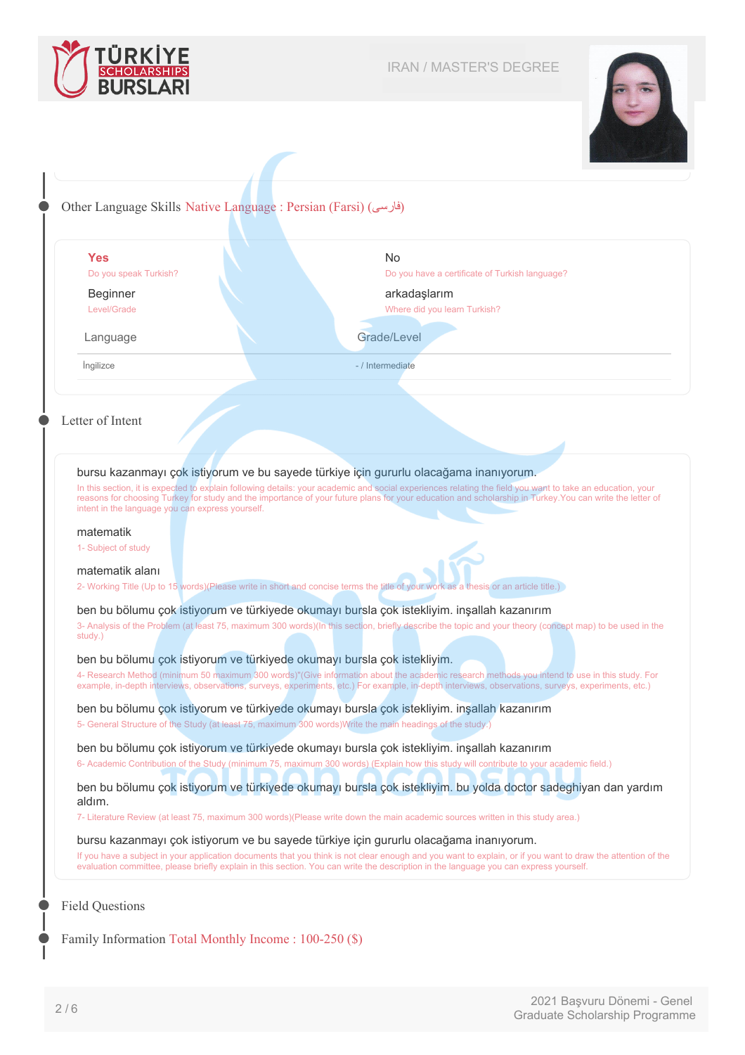



## Other Language Skills Native Language : Persian (Farsi) (فارسی)

|                                                                                                                                                                                                                                                                                                                                                                                                                                                                                       | <b>No</b>                                                                                                                                                                                                                                                                                           |                     |  |
|---------------------------------------------------------------------------------------------------------------------------------------------------------------------------------------------------------------------------------------------------------------------------------------------------------------------------------------------------------------------------------------------------------------------------------------------------------------------------------------|-----------------------------------------------------------------------------------------------------------------------------------------------------------------------------------------------------------------------------------------------------------------------------------------------------|---------------------|--|
| Do you speak Turkish?                                                                                                                                                                                                                                                                                                                                                                                                                                                                 | Do you have a certificate of Turkish language?                                                                                                                                                                                                                                                      |                     |  |
| <b>Beginner</b>                                                                                                                                                                                                                                                                                                                                                                                                                                                                       | arkadaşlarım                                                                                                                                                                                                                                                                                        |                     |  |
| Level/Grade                                                                                                                                                                                                                                                                                                                                                                                                                                                                           | Where did you learn Turkish?                                                                                                                                                                                                                                                                        |                     |  |
| Grade/Level<br>Language                                                                                                                                                                                                                                                                                                                                                                                                                                                               |                                                                                                                                                                                                                                                                                                     |                     |  |
| Ingilizce                                                                                                                                                                                                                                                                                                                                                                                                                                                                             | - / Intermediate                                                                                                                                                                                                                                                                                    |                     |  |
| Letter of Intent<br>bursu kazanmayı çok istiyorum ve bu sayede türkiye için gururlu olacağama inanıyorum.<br>In this section, it is expected to explain following details: your academic and social experiences relating the field you want to take an education, your<br>reasons for choosing Turkey for study and the importance of your future plans for your education and scholarship in Turkey. You can write the letter of<br>intent in the language you can express yourself. |                                                                                                                                                                                                                                                                                                     |                     |  |
|                                                                                                                                                                                                                                                                                                                                                                                                                                                                                       |                                                                                                                                                                                                                                                                                                     | matematik           |  |
|                                                                                                                                                                                                                                                                                                                                                                                                                                                                                       |                                                                                                                                                                                                                                                                                                     | 1- Subject of study |  |
|                                                                                                                                                                                                                                                                                                                                                                                                                                                                                       |                                                                                                                                                                                                                                                                                                     |                     |  |
| matematik alanı                                                                                                                                                                                                                                                                                                                                                                                                                                                                       |                                                                                                                                                                                                                                                                                                     |                     |  |
|                                                                                                                                                                                                                                                                                                                                                                                                                                                                                       | 2- Working Title (Up to 15 words) (Please write in short and concise terms the title of your work as a thesis or an article title.)                                                                                                                                                                 |                     |  |
|                                                                                                                                                                                                                                                                                                                                                                                                                                                                                       | ben bu bölumu çok istiyorum ve türkiyede okumayı bursla çok istekliyim. inşallah kazanırım                                                                                                                                                                                                          |                     |  |
| study.)                                                                                                                                                                                                                                                                                                                                                                                                                                                                               | 3- Analysis of the Problem (at least 75, maximum 300 words)(In this section, briefly describe the topic and your theory (concept map) to be used in the                                                                                                                                             |                     |  |
|                                                                                                                                                                                                                                                                                                                                                                                                                                                                                       |                                                                                                                                                                                                                                                                                                     |                     |  |
|                                                                                                                                                                                                                                                                                                                                                                                                                                                                                       |                                                                                                                                                                                                                                                                                                     |                     |  |
|                                                                                                                                                                                                                                                                                                                                                                                                                                                                                       | ben bu bölumu çok istiyorum ve türkiyede okumayı bursla çok istekliyim.                                                                                                                                                                                                                             |                     |  |
|                                                                                                                                                                                                                                                                                                                                                                                                                                                                                       | 4- Research Method (minimum 50 maximum 300 words)"(Give information about the academic research methods you intend to use in this study. For<br>example, in-depth interviews, observations, surveys, experiments, etc.) For example, in-depth interviews, observations, surveys, experiments, etc.) |                     |  |
|                                                                                                                                                                                                                                                                                                                                                                                                                                                                                       | ben bu bölumu çok istiyorum ve türkiyede okumayı bursla çok istekliyim. inşallah kazanırım                                                                                                                                                                                                          |                     |  |
|                                                                                                                                                                                                                                                                                                                                                                                                                                                                                       | 5- General Structure of the Study (at least 75, maximum 300 words) Write the main headings of the study.)                                                                                                                                                                                           |                     |  |
|                                                                                                                                                                                                                                                                                                                                                                                                                                                                                       |                                                                                                                                                                                                                                                                                                     |                     |  |
|                                                                                                                                                                                                                                                                                                                                                                                                                                                                                       | ben bu bölumu çok istiyorum ve türkiyede okumayı bursla çok istekliyim. inşallah kazanırım<br>6- Academic Contribution of the Study (minimum 75, maximum 300 words) (Explain how this study will contribute to your academic field.)                                                                |                     |  |
|                                                                                                                                                                                                                                                                                                                                                                                                                                                                                       | ben bu bölumu çok istiyorum ve türkiyede okumayı bursla çok istekliyim. bu yolda doctor sadeghiyan dan yardım                                                                                                                                                                                       |                     |  |
| aldım.                                                                                                                                                                                                                                                                                                                                                                                                                                                                                | 7- Literature Review (at least 75, maximum 300 words)(Please write down the main academic sources written in this study area.)                                                                                                                                                                      |                     |  |
|                                                                                                                                                                                                                                                                                                                                                                                                                                                                                       | bursu kazanmayı çok istiyorum ve bu sayede türkiye için gururlu olacağama inanıyorum.                                                                                                                                                                                                               |                     |  |

Family Information Total Monthly Income : 100-250 (\$)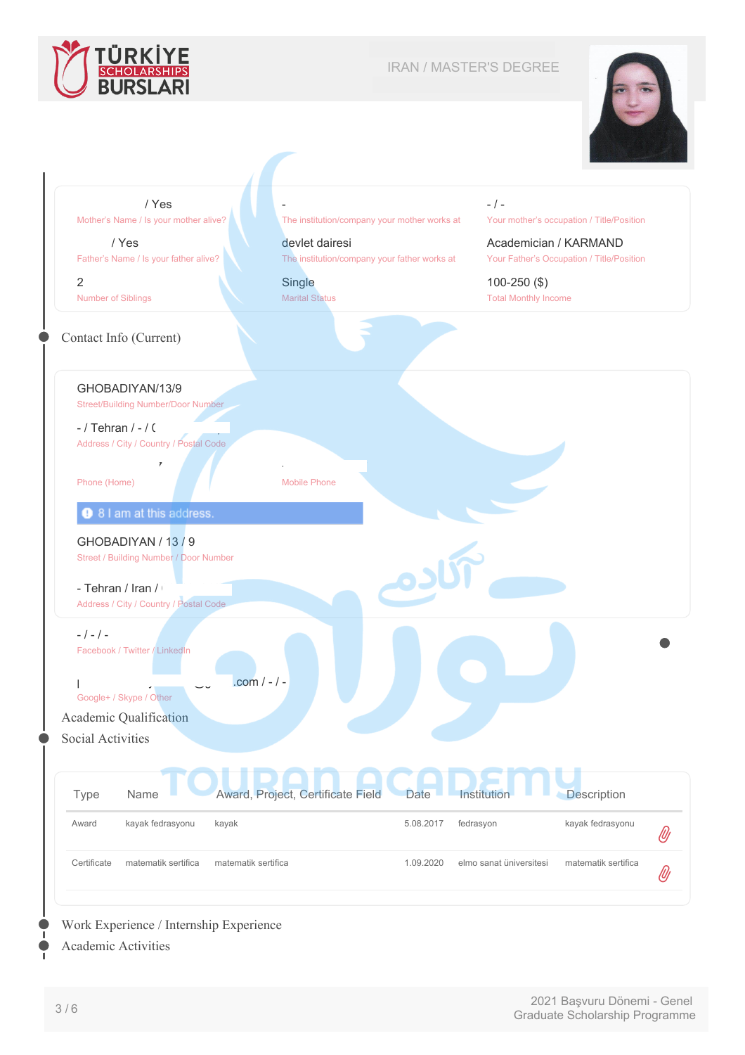

## IRAN / MASTER'S DEGREE





## Work Experience / Internship Experience

Academic Activities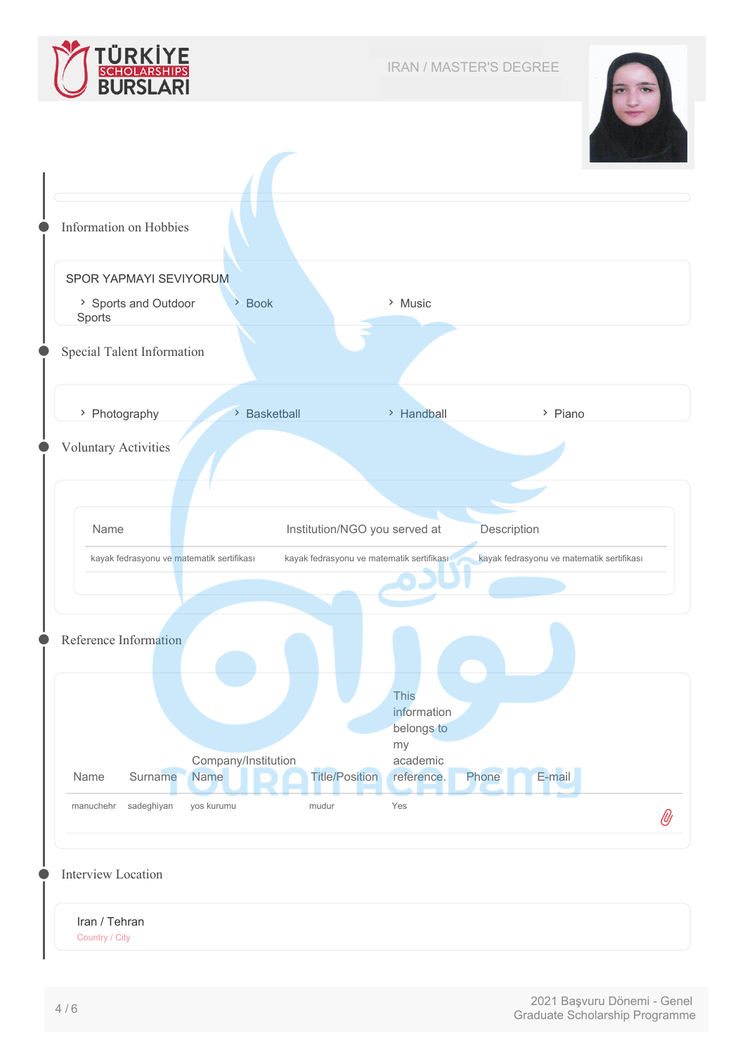





Country / City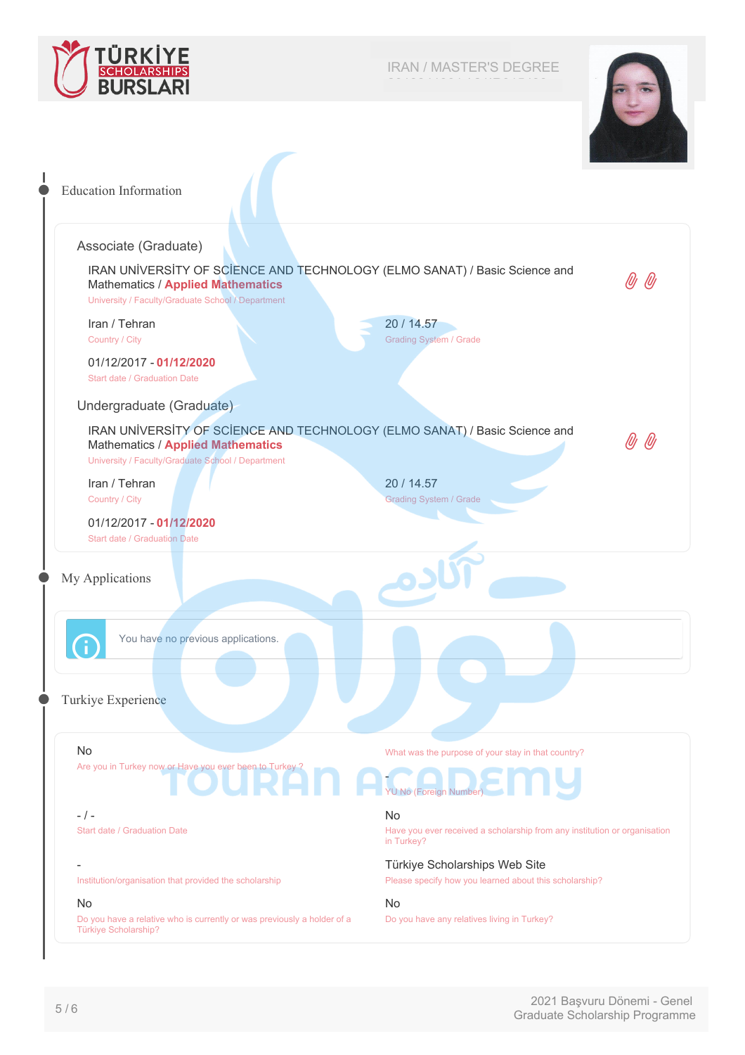